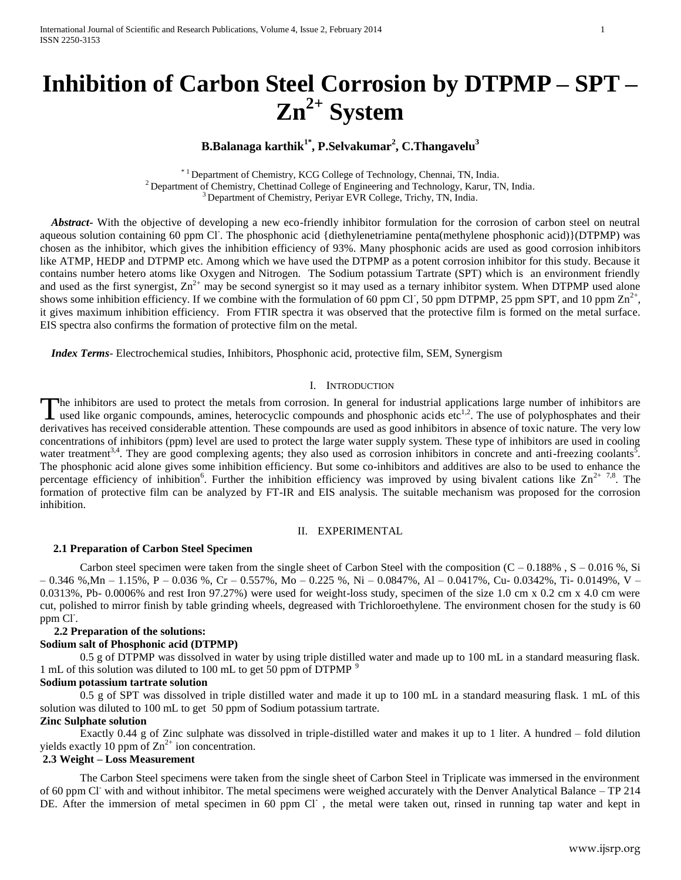# **Inhibition of Carbon Steel Corrosion by DTPMP – SPT – Zn2+ System**

# **B.Balanaga karthik1\* , P.Selvakumar<sup>2</sup> , C.Thangavelu<sup>3</sup>**

\* 1 Department of Chemistry, KCG College of Technology, Chennai, TN, India. <sup>2</sup> Department of Chemistry, Chettinad College of Engineering and Technology, Karur, TN, India. <sup>3</sup> Department of Chemistry, Periyar EVR College, Trichy, TN, India.

 *Abstract***-** With the objective of developing a new eco-friendly inhibitor formulation for the corrosion of carbon steel on neutral aqueous solution containing 60 ppm Cl. The phosphonic acid {diethylenetriamine penta(methylene phosphonic acid)}(DTPMP) was chosen as the inhibitor, which gives the inhibition efficiency of 93%. Many phosphonic acids are used as good corrosion inhibitors like ATMP, HEDP and DTPMP etc. Among which we have used the DTPMP as a potent corrosion inhibitor for this study. Because it contains number hetero atoms like Oxygen and Nitrogen. The Sodium potassium Tartrate (SPT) which is an environment friendly and used as the first synergist,  $\text{Zn}^{2+}$  may be second synergist so it may used as a ternary inhibitor system. When DTPMP used alone shows some inhibition efficiency. If we combine with the formulation of 60 ppm Cl, 50 ppm DTPMP, 25 ppm SPT, and 10 ppm  $\text{Zn}^{2+}$ , it gives maximum inhibition efficiency. From FTIR spectra it was observed that the protective film is formed on the metal surface. EIS spectra also confirms the formation of protective film on the metal.

 *Index Terms*- Electrochemical studies, Inhibitors, Phosphonic acid, protective film, SEM, Synergism

## I. INTRODUCTION

The inhibitors are used to protect the metals from corrosion. In general for industrial applications large number of inhibitors are The inhibitors are used to protect the metals from corrosion. In general for industrial applications large number of inhibitors are used like organic compounds, amines, heterocyclic compounds and phosphonic acids etc<sup>1,2</sup> derivatives has received considerable attention. These compounds are used as good inhibitors in absence of toxic nature. The very low concentrations of inhibitors (ppm) level are used to protect the large water supply system. These type of inhibitors are used in cooling water treatment<sup>3,4</sup>. They are good complexing agents; they also used as corrosion inhibitors in concrete and anti-freezing coolants<sup>5</sup>. The phosphonic acid alone gives some inhibition efficiency. But some co-inhibitors and additives are also to be used to enhance the percentage efficiency of inhibition<sup>6</sup>. Further the inhibition efficiency was improved by using bivalent cations like  $\text{Zn}^{2+7,8}$ . The formation of protective film can be analyzed by FT-IR and EIS analysis. The suitable mechanism was proposed for the corrosion inhibition.

## II. EXPERIMENTAL

### **2.1 Preparation of Carbon Steel Specimen**

Carbon steel specimen were taken from the single sheet of Carbon Steel with the composition  $(C - 0.188\% , S - 0.016\% , Si$  $-0.346$  %,Mn  $-1.15$ %, P  $-0.036$  %, Cr  $-0.557$ %, Mo  $-0.225$  %, Ni  $-0.0847$ %, Al  $-0.0417$ %, Cu $-0.0342$ %, Ti $-0.0149$ %, V  $-$ 0.0313%, Pb- 0.0006% and rest Iron 97.27%) were used for weight-loss study, specimen of the size 1.0 cm x 0.2 cm x 4.0 cm were cut, polished to mirror finish by table grinding wheels, degreased with Trichloroethylene. The environment chosen for the study is 60 ppm<sup>-</sup>Cl<sup>-</sup>.

## **2.2 Preparation of the solutions:**

#### **Sodium salt of Phosphonic acid (DTPMP)**

0.5 g of DTPMP was dissolved in water by using triple distilled water and made up to 100 mL in a standard measuring flask. 1 mL of this solution was diluted to 100 mL to get 50 ppm of DTPMP  $9$ 

### **Sodium potassium tartrate solution**

0.5 g of SPT was dissolved in triple distilled water and made it up to 100 mL in a standard measuring flask. 1 mL of this solution was diluted to 100 mL to get 50 ppm of Sodium potassium tartrate.

## **Zinc Sulphate solution**

Exactly 0.44 g of Zinc sulphate was dissolved in triple-distilled water and makes it up to 1 liter. A hundred – fold dilution yields exactly 10 ppm of  $\text{Zn}^{2+}$  ion concentration.

## **2.3 Weight – Loss Measurement**

The Carbon Steel specimens were taken from the single sheet of Carbon Steel in Triplicate was immersed in the environment of 60 ppm Cl- with and without inhibitor. The metal specimens were weighed accurately with the Denver Analytical Balance – TP 214 DE. After the immersion of metal specimen in 60 ppm Cl , the metal were taken out, rinsed in running tap water and kept in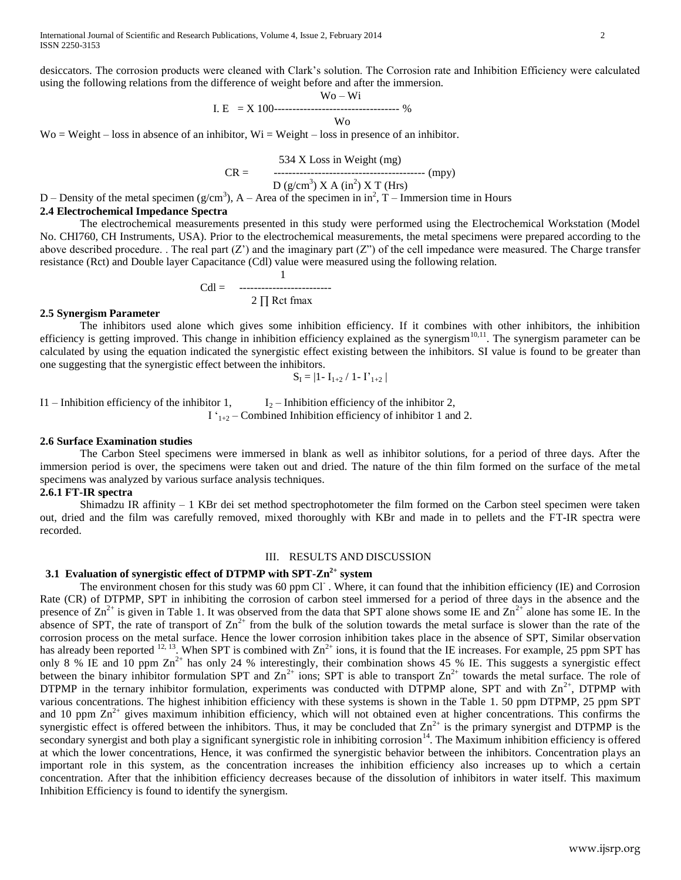desiccators. The corrosion products were cleaned with Clark's solution. The Corrosion rate and Inhibition Efficiency were calculated using the following relations from the difference of weight before and after the immersion.

$$
W_0 - Wi
$$
  
I. E = X 100-----  
W<sub>0</sub>

 $W_0$  = Weight – loss in absence of an inhibitor,  $W_i$  = Weight – loss in presence of an inhibitor.

$$
CR = 534 \text{ X Loss in Weight (mg)}
$$
  
 
$$
CR = 534 \text{ X Loss in Weight (mg)}
$$
  
 
$$
D (g/cm3) X A (in2) X T (Hrs)
$$

D – Density of the metal specimen ( $g/cm<sup>3</sup>$ ), A – Area of the specimen in in<sup>2</sup>, T – Immersion time in Hours

#### **2.4 Electrochemical Impedance Spectra**

The electrochemical measurements presented in this study were performed using the Electrochemical Workstation (Model No. CHI760, CH Instruments, USA). Prior to the electrochemical measurements, the metal specimens were prepared according to the above described procedure. . The real part  $(Z')$  and the imaginary part  $(Z'')$  of the cell impedance were measured. The Charge transfer resistance (Rct) and Double layer Capacitance (Cdl) value were measured using the following relation.

$$
Cdl =
$$
 2 $\prod$  Ret fmax

1

#### **2.5 Synergism Parameter**

The inhibitors used alone which gives some inhibition efficiency. If it combines with other inhibitors, the inhibition efficiency is getting improved. This change in inhibition efficiency explained as the synergism<sup>10,11</sup>. The synergism parameter can be calculated by using the equation indicated the synergistic effect existing between the inhibitors. SI value is found to be greater than one suggesting that the synergistic effect between the inhibitors.

$$
S_{I} = |1 - I_{1+2} / 1 - I'_{1+2}|
$$

I1 – Inhibition efficiency of the inhibitor 1,  $I_2$  – Inhibition efficiency of the inhibitor 2,  $I'_{1+2}$  – Combined Inhibition efficiency of inhibitor 1 and 2.

## **2.6 Surface Examination studies**

The Carbon Steel specimens were immersed in blank as well as inhibitor solutions, for a period of three days. After the immersion period is over, the specimens were taken out and dried. The nature of the thin film formed on the surface of the metal specimens was analyzed by various surface analysis techniques.

#### **2.6.1 FT-IR spectra**

Shimadzu IR affinity  $-1$  KBr dei set method spectrophotometer the film formed on the Carbon steel specimen were taken out, dried and the film was carefully removed, mixed thoroughly with KBr and made in to pellets and the FT-IR spectra were recorded.

## III. RESULTS AND DISCUSSION

## **3.1 Evaluation of synergistic effect of DTPMP with SPT-Zn2+ system**

The environment chosen for this study was 60 ppm Cl. Where, it can found that the inhibition efficiency (IE) and Corrosion Rate (CR) of DTPMP, SPT in inhibiting the corrosion of carbon steel immersed for a period of three days in the absence and the presence of  $\text{Zn}^{2+}$  is given in Table 1. It was observed from the data that SPT alone shows some IE and  $\text{Zn}^{2+}$  alone has some IE. In the absence of SPT, the rate of transport of  $\text{Zn}^{2+}$  from the bulk of the solution towards the metal surface is slower than the rate of the corrosion process on the metal surface. Hence the lower corrosion inhibition takes place in the absence of SPT, Similar observation has already been reported <sup>12, 13</sup>. When SPT is combined with  $Zn^{2+}$  ions, it is found that the IE increases. For example, 25 ppm SPT has only 8 % IE and 10 ppm  $\text{Zn}^{2+}$  has only 24 % interestingly, their combination shows 45 % IE. This suggests a synergistic effect between the binary inhibitor formulation SPT and  $\text{Zn}^{2+}$  ions; SPT is able to transport  $\text{Zn}^{2+}$  towards the metal surface. The role of DTPMP in the ternary inhibitor formulation, experiments was conducted with DTPMP alone, SPT and with  $\text{Zn}^{2+}$ , DTPMP with various concentrations. The highest inhibition efficiency with these systems is shown in the Table 1. 50 ppm DTPMP, 25 ppm SPT and 10 ppm  $Zn^{2+}$  gives maximum inhibition efficiency, which will not obtained even at higher concentrations. This confirms the synergistic effect is offered between the inhibitors. Thus, it may be concluded that  $Zn^{2+}$  is the primary synergist and DTPMP is the secondary synergist and both play a significant synergistic role in inhibiting corrosion<sup>14</sup>. The Maximum inhibition efficiency is offered at which the lower concentrations, Hence, it was confirmed the synergistic behavior between the inhibitors. Concentration plays an important role in this system, as the concentration increases the inhibition efficiency also increases up to which a certain concentration. After that the inhibition efficiency decreases because of the dissolution of inhibitors in water itself. This maximum Inhibition Efficiency is found to identify the synergism.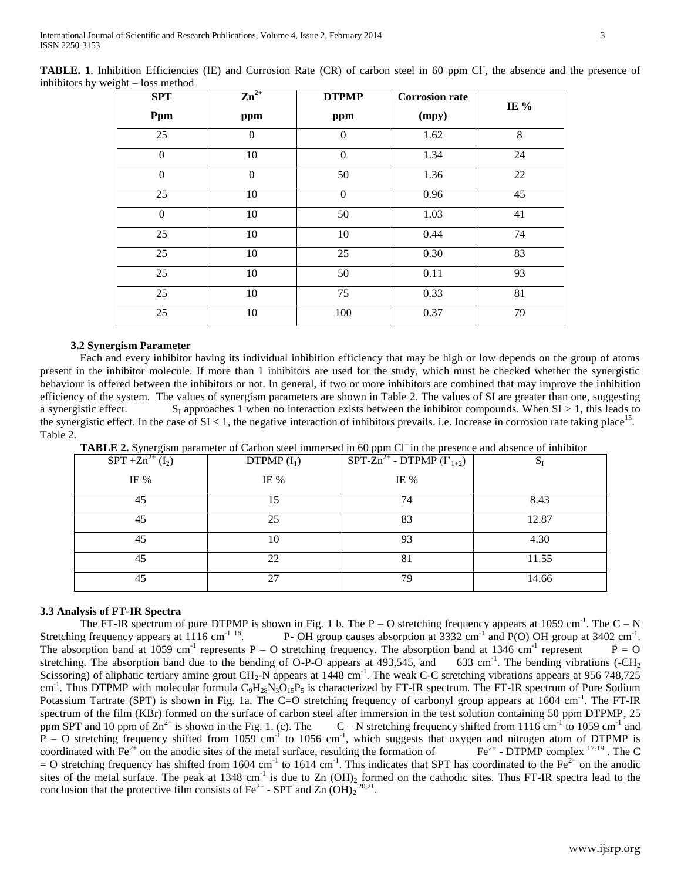| <b>SPT</b><br>Ppm | $\mathbf{Zn}^{2+}$<br>ppm | <b>DTPMP</b><br>ppm | <b>Corrosion rate</b><br>(mpy) | IE % |
|-------------------|---------------------------|---------------------|--------------------------------|------|
| 25                | $\Omega$                  | $\mathbf{0}$        | 1.62                           | 8    |
| $\boldsymbol{0}$  | 10                        | $\mathbf{0}$        | 1.34                           | 24   |
| $\mathbf{0}$      | $\Omega$                  | 50                  | 1.36                           | 22   |
| 25                | 10                        | $\boldsymbol{0}$    | 0.96                           | 45   |
| $\boldsymbol{0}$  | $10\,$                    | 50                  | 1.03                           | 41   |
| 25                | $10\,$                    | 10                  | 0.44                           | 74   |
| 25                | 10                        | 25                  | 0.30                           | 83   |
| 25                | 10                        | 50                  | 0.11                           | 93   |
| 25                | 10                        | 75                  | 0.33                           | 81   |
| 25                | 10                        | 100                 | 0.37                           | 79   |

TABLE. 1. Inhibition Efficiencies (IE) and Corrosion Rate (CR) of carbon steel in 60 ppm Cl, the absence and the presence of inhibitors by weight – loss method

## **3.2 Synergism Parameter**

Each and every inhibitor having its individual inhibition efficiency that may be high or low depends on the group of atoms present in the inhibitor molecule. If more than 1 inhibitors are used for the study, which must be checked whether the synergistic behaviour is offered between the inhibitors or not. In general, if two or more inhibitors are combined that may improve the inhibition efficiency of the system. The values of synergism parameters are shown in Table 2. The values of SI are greater than one, suggesting a synergistic effect.  $S_1$  approaches 1 when no interaction exists between the inhibitor compounds. When  $SI > 1$ , this leads to the synergistic effect. In the case of  $SI < 1$ , the negative interaction of inhibitors prevails. i.e. Increase in corrosion rate taking place<sup>15</sup>. Table 2.

| <b>Tribers a</b> bynergion parameter or earbon steer minicised in 60 ppm or in the presence and absence or minionor |               |                                                      |       |  |  |  |
|---------------------------------------------------------------------------------------------------------------------|---------------|------------------------------------------------------|-------|--|--|--|
| $SPT + Zn^{2+} (I_2)$                                                                                               | DTPMP $(I_1)$ | $\overline{\text{SPT-Zn}^{2+}}$ - DTPMP $(I'_{1+2})$ | 5ı    |  |  |  |
| IE %                                                                                                                | IE %          | IE $%$                                               |       |  |  |  |
| 45                                                                                                                  | 15            | 74                                                   | 8.43  |  |  |  |
| 45                                                                                                                  | 25            | 83                                                   | 12.87 |  |  |  |
| 45                                                                                                                  | 10            | 93                                                   | 4.30  |  |  |  |
| 45                                                                                                                  | 22            | 81                                                   | 11.55 |  |  |  |
| 45                                                                                                                  | 27            | 79                                                   | 14.66 |  |  |  |

TABLE 2. Synergism parameter of Carbon steel immersed in 60 ppm Cl<sup>-</sup> in the presence and absence of inhibitor

## **3.3 Analysis of FT-IR Spectra**

The FT-IR spectrum of pure DTPMP is shown in Fig. 1 b. The  $P - O$  stretching frequency appears at 1059 cm<sup>-1</sup>. The  $C - N$ Stretching frequency appears at 1116 cm<sup>-1 16</sup>. P- OH group causes absorption at 3332 cm<sup>-1</sup> and P(O) OH group at 3402 cm<sup>-1</sup>. The absorption band at 1059 cm<sup>-1</sup> represents P – O stretching frequency. The absorption band at 1346 cm<sup>-1</sup> represent  $P = Q$ stretching. The absorption band due to the bending of  $O-P-O$  appears at 493,545, and 633 cm<sup>-1</sup>. The bending vibrations (- $CH<sub>2</sub>$ ) Scissoring) of aliphatic tertiary amine grout CH<sub>2</sub>-N appears at 1448 cm<sup>-1</sup>. The weak C-C stretching vibrations appears at 956 748,725 cm<sup>-1</sup>. Thus DTPMP with molecular formula  $C_9H_{28}N_3O_{15}P_5$  is characterized by FT-IR spectrum. The FT-IR spectrum of Pure Sodium Potassium Tartrate (SPT) is shown in Fig. 1a. The C=O stretching frequency of carbonyl group appears at 1604 cm<sup>-1</sup>. The FT-IR spectrum of the film (KBr) formed on the surface of carbon steel after immersion in the test solution containing 50 ppm DTPMP, 25 ppm SPT and 10 ppm of  $\text{Zn}^{2+}$  is shown in the Fig. 1. (c). The  $\text{C}-\text{N}$  stretching frequency shifted from 1116 cm<sup>-1</sup> to 1059 cm<sup>-1</sup> and  $\overline{P}$  – O stretching frequency shifted from 1059 cm<sup>-1</sup> to 1056 cm<sup>-1</sup>, which suggests that oxygen and nitrogen atom of DTPMP is coordinated with  $Fe<sup>2+</sup>$  on the anodic sites of the metal surface, resulting the formation of  $Fe<sup>2+</sup> - DTPMP complex$   $^{17-19}$ . The C = O stretching frequency has shifted from 1604 cm<sup>-1</sup> to 1614 cm<sup>-1</sup>. This indicates that SPT has coordinated to the Fe<sup>2+</sup> on the anodic sites of the metal surface. The peak at 1348 cm<sup>-1</sup> is due to Zn  $(OH)_2$  formed on the cathodic sites. Thus FT-IR spectra lead to the conclusion that the protective film consists of Fe<sup>2+</sup> - SPT and Zn  $(OH)_2$ <sup>20,21</sup>.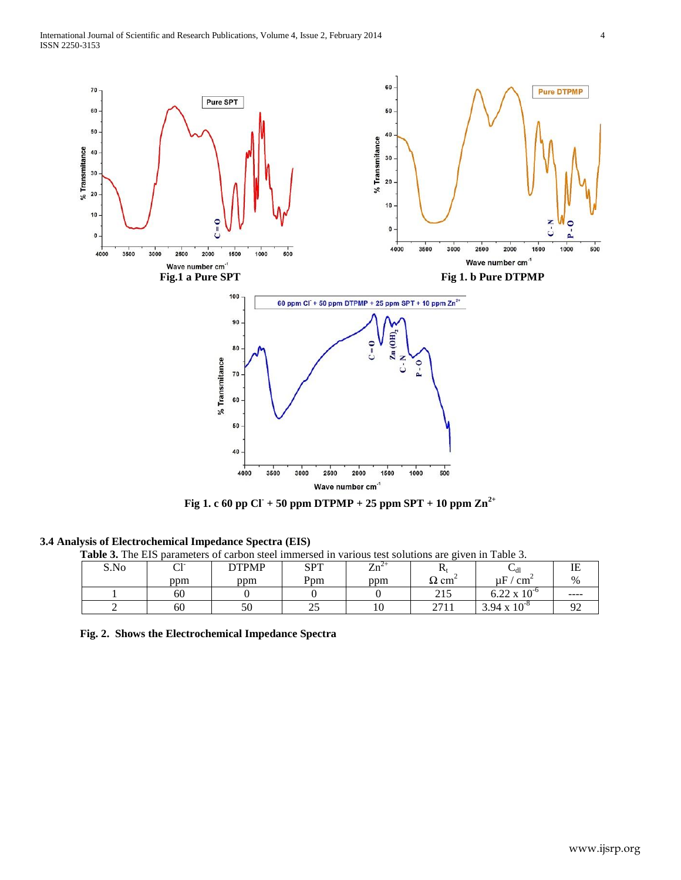

**Fig 1. c 60 pp Cl- + 50 ppm DTPMP + 25 ppm SPT + 10 ppm Zn2+**

## **3.4 Analysis of Electrochemical Impedance Spectra (EIS)**

**Table 3.** The EIS parameters of carbon steel immersed in various test solutions are given in Table 3.

| S.No | $\sim$ 1-<br>◡ | <b>DTPMP</b> | <b>SPT</b> | $\text{Zn}^2$ | л                                     | ∽dl                   | ΙE            |
|------|----------------|--------------|------------|---------------|---------------------------------------|-----------------------|---------------|
|      | ppm            | ppm          | Ppm        | ppm           | $\Omega$ cm                           | uF<br>$\rm cm$        | %             |
|      | 60             |              |            |               | $\bigcap$ 1 $\subseteq$<br>$\angle 1$ | $0.22 \times 10^{-6}$ | ----          |
|      | 60             | 50           | ⌒ 冖<br>ت   | 1 V           | 2711<br>211                           | $3.94 \times 10^{-8}$ | $\Omega$<br>╯ |

**Fig. 2. Shows the Electrochemical Impedance Spectra**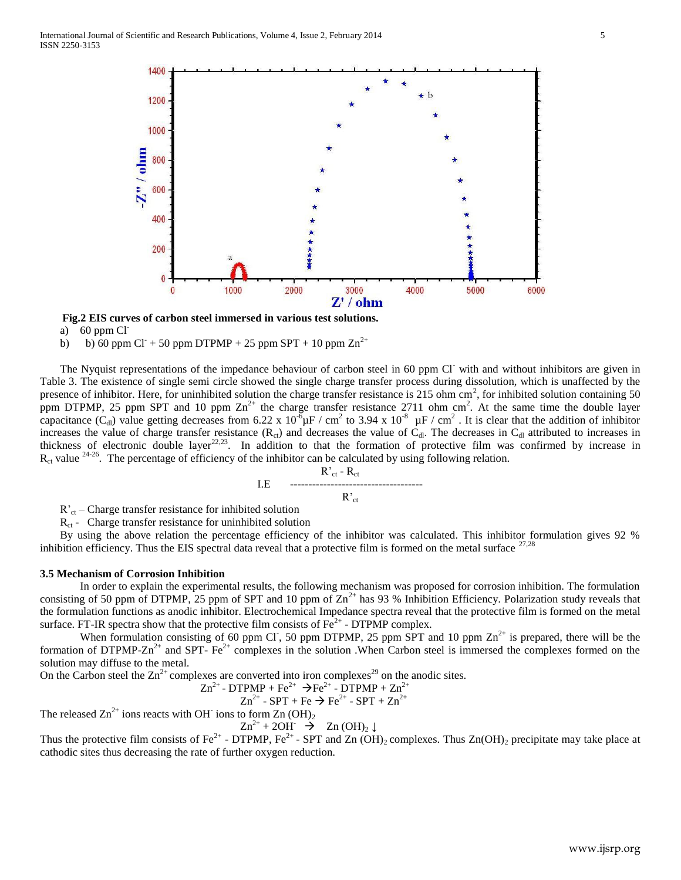

 **Fig.2 EIS curves of carbon steel immersed in various test solutions.** 

a)  $60$  ppm Cl<sup>-</sup>

b) b) 60 ppm Cl<sup>+</sup> + 50 ppm DTPMP + 25 ppm SPT + 10 ppm  $\text{Zn}^{2+}$ 

The Nyquist representations of the impedance behaviour of carbon steel in 60 ppm Cl<sup>-</sup> with and without inhibitors are given in Table 3. The existence of single semi circle showed the single charge transfer process during dissolution, which is unaffected by the presence of inhibitor. Here, for uninhibited solution the charge transfer resistance is 215 ohm  $\text{cm}^2$ , for inhibited solution containing 50 ppm DTPMP, 25 ppm SPT and 10 ppm  $\text{Zn}^{2+}$  the charge transfer resistance 2711 ohm cm<sup>2</sup>. At the same time the double layer capacitance (C<sub>dl</sub>) value getting decreases from 6.22 x 10<sup>-6</sup> $\mu$ F / cm<sup>2</sup> to 3.94 x 10<sup>-8</sup>  $\mu$ F / cm<sup>2</sup>. It is clear that the addition of inhibitor increases the value of charge transfer resistance  $(R<sub>ct</sub>)$  and decreases the value of  $C<sub>dl</sub>$ . The decreases in  $C<sub>dl</sub>$  attributed to increases in thickness of electronic double layer<sup>22,23</sup>. In addition to that the formation of protective film was confirmed by increase in  $R_{ct}$  value <sup>24-26</sup>. The percentage of efficiency of the inhibitor can be calculated by using following relation.

R'ct - Rct I.E ------------------------------------ R'ct

 $R_{\text{ct}}$  – Charge transfer resistance for inhibited solution

 $R_{\rm ct}$  - Charge transfer resistance for uninhibited solution

By using the above relation the percentage efficiency of the inhibitor was calculated. This inhibitor formulation gives 92 % inhibition efficiency. Thus the EIS spectral data reveal that a protective film is formed on the metal surface  $^{27,28}$ 

### **3.5 Mechanism of Corrosion Inhibition**

In order to explain the experimental results, the following mechanism was proposed for corrosion inhibition. The formulation consisting of 50 ppm of DTPMP, 25 ppm of SPT and 10 ppm of  $Zn^{2+}$  has 93 % Inhibition Efficiency. Polarization study reveals that the formulation functions as anodic inhibitor. Electrochemical Impedance spectra reveal that the protective film is formed on the metal surface. FT-IR spectra show that the protective film consists of  $Fe<sup>2+</sup>$  - DTPMP complex.

When formulation consisting of 60 ppm Cl, 50 ppm DTPMP, 25 ppm SPT and 10 ppm  $\text{Zn}^{2+}$  is prepared, there will be the formation of DTPMP-Zn<sup>2+</sup> and SPT-  $Fe^{2+}$  complexes in the solution .When Carbon steel is immersed the complexes formed on the solution may diffuse to the metal.

On the Carbon steel the  $Zn^{2+}$  complexes are converted into iron complexes<sup>29</sup> on the anodic sites.  $Zn^2$ 

$$
^{\dagger}
$$
 - DTPMP + Fe<sup>2+</sup>  $\rightarrow$  Fe<sup>2+</sup> - DTPMP + Zn<sup>2+</sup>

$$
Zn^{2+} - SPT + Fe \rightarrow Fe^{2+} - SPT + Zn^{2+}
$$

The released  $\text{Zn}^{2+}$  ions reacts with OH ions to form  $\text{Zn}$  (OH)<sub>2</sub>

$$
Zn^{2+} + 2OH^- \rightarrow Zn (OH)_2 \downarrow
$$

Thus the protective film consists of Fe<sup>2+</sup> - DTPMP, Fe<sup>2+</sup> - SPT and Zn (OH)<sub>2</sub> complexes. Thus Zn(OH)<sub>2</sub> precipitate may take place at cathodic sites thus decreasing the rate of further oxygen reduction.